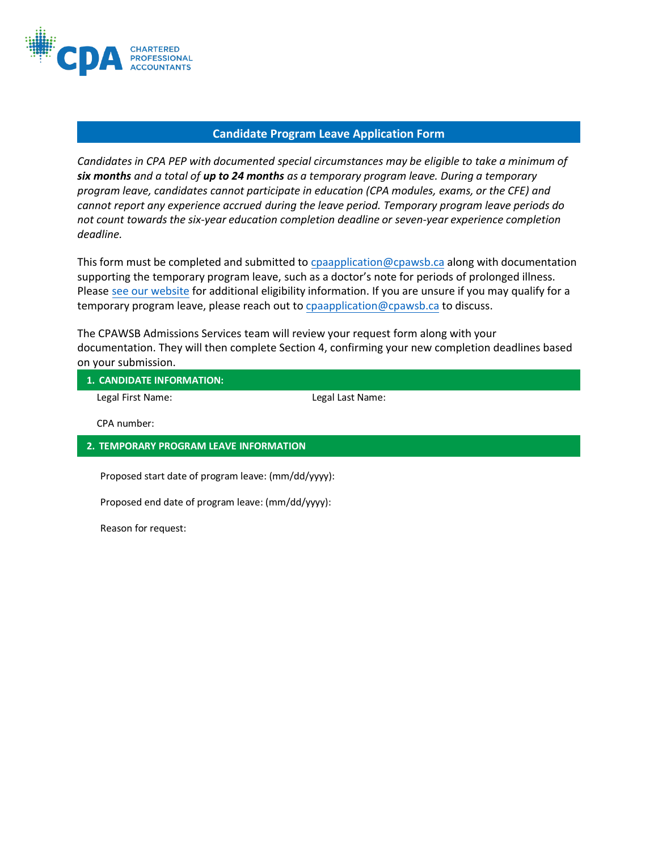

## **Candidate Program Leave Application Form**

*Candidates in CPA PEP with documented special circumstances may be eligible to take a minimum of six months and a total of up to 24 months as a temporary program leave. During a temporary program leave, candidates cannot participate in education (CPA modules, exams, or the CFE) and cannot report any experience accrued during the leave period. Temporary program leave periods do not count towards the six-year education [completion deadline or sev](mailto:cpaapplication@cpawsb.ca)en-year experience completion deadline.*

This form must be completed and submitted to cpaapplication@cpawsb.ca along with documentation supp[orting the temporary prog](mailto:cpaapplication@cpawsb.ca)ram leave, such as a doctor's note for periods of prolonged illness. Please [see our website](https://www.cpawsb.ca/current-learners/administration/temporary-program-leave/) for additional eligibility information. If [you are unsure if you may qualify for a](https://www.cpawsb.ca/current-learners/administration/temporary-program-leave/)  temporary program leave, please reach out to cpaapplication@cpawsb.ca to discuss.

[The CPAWSB Admissions Services team will review your request form along with your](https://www.cpawsb.ca/current-learners/administration/temporary-program-leave/)  documentation. They will then complete Section 4, confirming your new completion deadlines based on your submission.

**1. CANDIDATE INFORMATION:**

Legal First Name: Legal Last Name:

CPA number:

## **2. TEMPORARY PROGRAM LEAVE INFORMATION**

Proposed start date of program leave: (mm/dd/yyyy):

Proposed end date of program leave: (mm/dd/yyyy):

Reason for request: